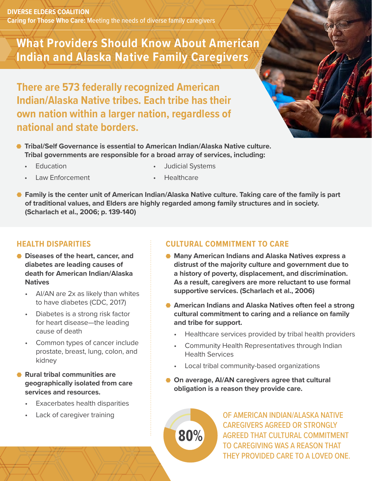**DIVERSE ELDERS COALITION Caring for Those Who Care:** Meeting the needs of diverse family caregivers

# **What Providers Should Know About American Indian and Alaska Native Family Caregivers**

**There are 573 federally recognized American Indian/Alaska Native tribes. Each tribe has their own nation within a larger nation, regardless of national and state borders.**

- **Tribal/Self Governance is essential to American Indian/Alaska Native culture. Tribal governments are responsible for a broad array of services, including:**
	- Education

• Judicial Systems

Law Enforcement

**Healthcare** 

● Family is the center unit of American Indian/Alaska Native culture. Taking care of the family is part **of traditional values, and Elders are highly regarded among family structures and in society. (Scharlach et al., 2006; p. 139-140)**

## **HEALTH DISPARITIES**

- **Diseases of the heart, cancer, and diabetes are leading causes of death for American Indian/Alaska Natives**
	- AI/AN are 2x as likely than whites to have diabetes (CDC, 2017)
	- Diabetes is a strong risk factor for heart disease—the leading cause of death
	- Common types of cancer include prostate, breast, lung, colon, and kidney
- **Rural tribal communities are geographically isolated from care services and resources.** 
	- **Exacerbates health disparities**
	- Lack of caregiver training

## **CULTURAL COMMITMENT TO CARE**

- **Many American Indians and Alaska Natives express a distrust of the majority culture and government due to a history of poverty, displacement, and discrimination. As a result, caregivers are more reluctant to use formal supportive services. (Scharlach et al., 2006)**
- **American Indians and Alaska Natives often feel a strong cultural commitment to caring and a reliance on family and tribe for support.** 
	- Healthcare services provided by tribal health providers
	- Community Health Representatives through Indian Health Services
	- Local tribal community-based organizations
- **On average, AI/AN caregivers agree that cultural obligation is a reason they provide care.**



OF AMERICAN INDIAN/ALASKA NATIVE CAREGIVERS AGREED OR STRONGLY AGREED THAT CULTURAL COMMITMENT TO CAREGIVING WAS A REASON THAT THEY PROVIDED CARE TO A LOVED ONE.